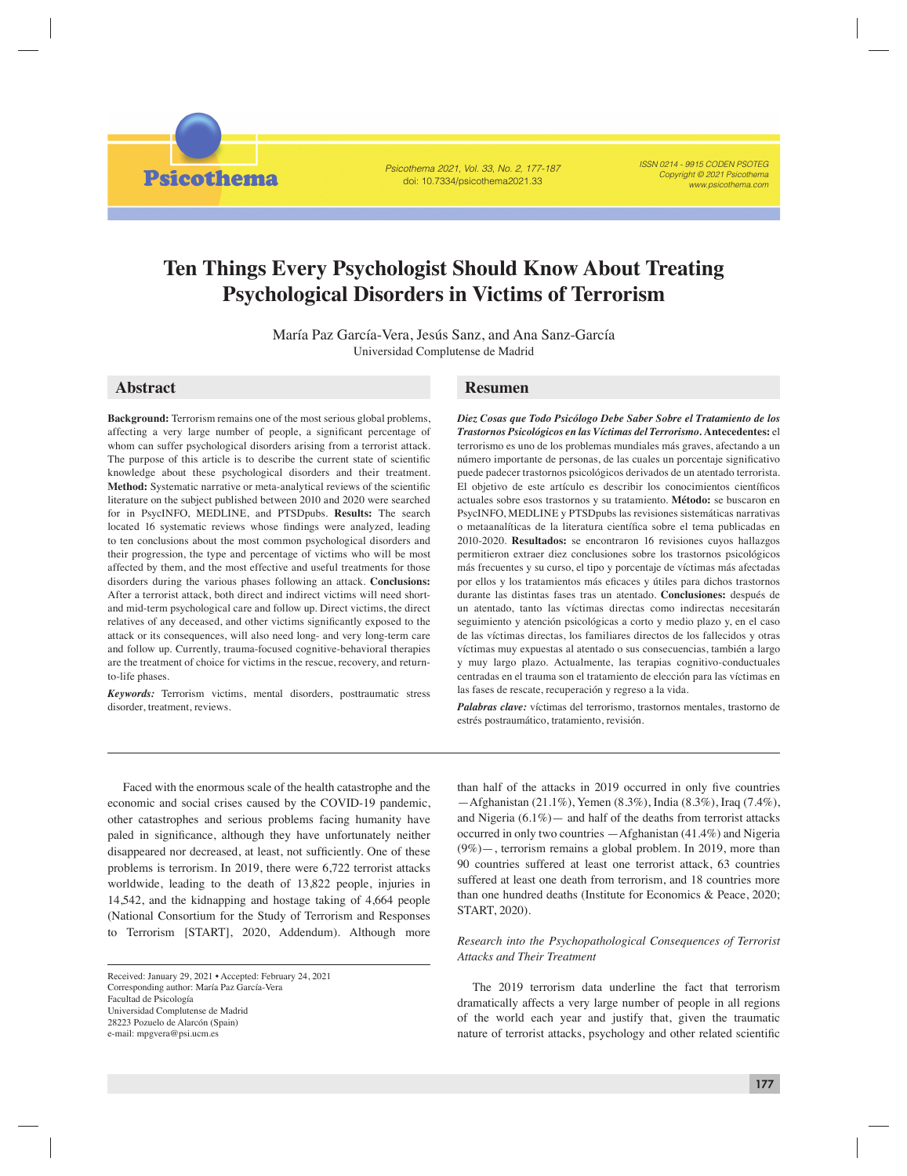Psicothema 2021, Vol. 33, No. 2, 177-187 doi: 10.7334/psicothema2021.33

ISSN 0214 - 9915 CODEN PSOTEG Copyright © 2021 Psicothema www.psicothema.com

# **Ten Things Every Psychologist Should Know About Treating Psychological Disorders in Victims of Terrorism**

María Paz García-Vera, Jesús Sanz, and Ana Sanz-García Universidad Complutense de Madrid

# **Abstract Resumen**

**Psicothema** 

**Background:** Terrorism remains one of the most serious global problems, affecting a very large number of people, a significant percentage of whom can suffer psychological disorders arising from a terrorist attack. The purpose of this article is to describe the current state of scientific knowledge about these psychological disorders and their treatment. **Method:** Systematic narrative or meta-analytical reviews of the scientific literature on the subject published between 2010 and 2020 were searched for in PsycINFO, MEDLINE, and PTSDpubs. **Results:** The search located 16 systematic reviews whose findings were analyzed, leading to ten conclusions about the most common psychological disorders and their progression, the type and percentage of victims who will be most affected by them, and the most effective and useful treatments for those disorders during the various phases following an attack. **Conclusions:**  After a terrorist attack, both direct and indirect victims will need shortand mid-term psychological care and follow up. Direct victims, the direct relatives of any deceased, and other victims significantly exposed to the attack or its consequences, will also need long- and very long-term care and follow up. Currently, trauma-focused cognitive-behavioral therapies are the treatment of choice for victims in the rescue, recovery, and returnto-life phases.

*Keywords:* Terrorism victims, mental disorders, posttraumatic stress disorder, treatment, reviews.

*Diez Cosas que Todo Psicólogo Debe Saber Sobre el Tratamiento de los Trastornos Psicológicos en las Víctimas del Terrorismo.* **Antecedentes:** el terrorismo es uno de los problemas mundiales más graves, afectando a un número importante de personas, de las cuales un porcentaje significativo puede padecer trastornos psicológicos derivados de un atentado terrorista. El objetivo de este artículo es describir los conocimientos científicos actuales sobre esos trastornos y su tratamiento. **Método:** se buscaron en PsycINFO, MEDLINE y PTSDpubs las revisiones sistemáticas narrativas o metaanalíticas de la literatura científica sobre el tema publicadas en 2010-2020. **Resultados:** se encontraron 16 revisiones cuyos hallazgos permitieron extraer diez conclusiones sobre los trastornos psicológicos más frecuentes y su curso, el tipo y porcentaje de víctimas más afectadas por ellos y los tratamientos más eficaces y útiles para dichos trastornos durante las distintas fases tras un atentado. **Conclusiones:** después de un atentado, tanto las víctimas directas como indirectas necesitarán seguimiento y atención psicológicas a corto y medio plazo y, en el caso de las víctimas directas, los familiares directos de los fallecidos y otras víctimas muy expuestas al atentado o sus consecuencias, también a largo y muy largo plazo. Actualmente, las terapias cognitivo-conductuales centradas en el trauma son el tratamiento de elección para las víctimas en las fases de rescate, recuperación y regreso a la vida.

*Palabras clave:* víctimas del terrorismo, trastornos mentales, trastorno de estrés postraumático, tratamiento, revisión.

Faced with the enormous scale of the health catastrophe and the economic and social crises caused by the COVID-19 pandemic, other catastrophes and serious problems facing humanity have paled in significance, although they have unfortunately neither disappeared nor decreased, at least, not sufficiently. One of these problems is terrorism. In 2019, there were 6,722 terrorist attacks worldwide, leading to the death of 13,822 people, injuries in 14,542, and the kidnapping and hostage taking of 4,664 people (National Consortium for the Study of Terrorism and Responses to Terrorism [START], 2020, Addendum). Although more

than half of the attacks in 2019 occurred in only five countries —Afghanistan (21.1%), Yemen (8.3%), India (8.3%), Iraq (7.4%), and Nigeria  $(6.1\%)$  and half of the deaths from terrorist attacks occurred in only two countries —Afghanistan (41.4%) and Nigeria (9%)—, terrorism remains a global problem. In 2019, more than 90 countries suffered at least one terrorist attack, 63 countries suffered at least one death from terrorism, and 18 countries more than one hundred deaths (Institute for Economics & Peace, 2020; START, 2020).

# *Research into the Psychopathological Consequences of Terrorist Attacks and Their Treatment*

The 2019 terrorism data underline the fact that terrorism dramatically affects a very large number of people in all regions of the world each year and justify that, given the traumatic nature of terrorist attacks, psychology and other related scientific

Received: January 29, 2021 • Accepted: February 24, 2021 Corresponding author: María Paz García-Vera Facultad de Psicología Universidad Complutense de Madrid 28223 Pozuelo de Alarcón (Spain) e-mail: mpgvera@psi.ucm.es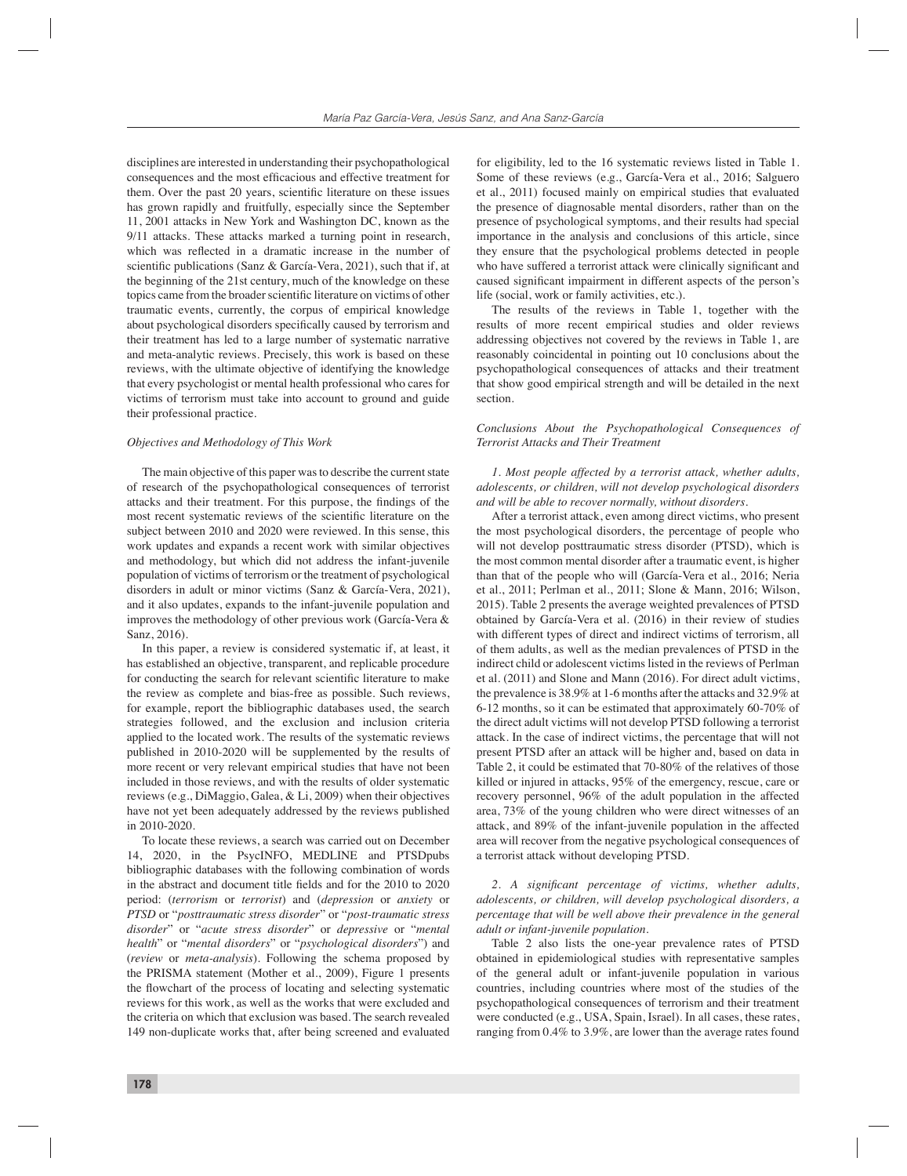disciplines are interested in understanding their psychopathological consequences and the most efficacious and effective treatment for them. Over the past 20 years, scientific literature on these issues has grown rapidly and fruitfully, especially since the September 11, 2001 attacks in New York and Washington DC, known as the 9/11 attacks. These attacks marked a turning point in research, which was reflected in a dramatic increase in the number of scientific publications (Sanz & García-Vera, 2021), such that if, at the beginning of the 21st century, much of the knowledge on these topics came from the broader scientific literature on victims of other traumatic events, currently, the corpus of empirical knowledge about psychological disorders specifically caused by terrorism and their treatment has led to a large number of systematic narrative and meta-analytic reviews. Precisely, this work is based on these reviews, with the ultimate objective of identifying the knowledge that every psychologist or mental health professional who cares for victims of terrorism must take into account to ground and guide their professional practice.

#### *Objectives and Methodology of This Work*

The main objective of this paper was to describe the current state of research of the psychopathological consequences of terrorist attacks and their treatment. For this purpose, the findings of the most recent systematic reviews of the scientific literature on the subject between 2010 and 2020 were reviewed. In this sense, this work updates and expands a recent work with similar objectives and methodology, but which did not address the infant-juvenile population of victims of terrorism or the treatment of psychological disorders in adult or minor victims (Sanz & García-Vera, 2021), and it also updates, expands to the infant-juvenile population and improves the methodology of other previous work (García-Vera & Sanz, 2016).

In this paper, a review is considered systematic if, at least, it has established an objective, transparent, and replicable procedure for conducting the search for relevant scientific literature to make the review as complete and bias-free as possible. Such reviews, for example, report the bibliographic databases used, the search strategies followed, and the exclusion and inclusion criteria applied to the located work. The results of the systematic reviews published in 2010-2020 will be supplemented by the results of more recent or very relevant empirical studies that have not been included in those reviews, and with the results of older systematic reviews (e.g., DiMaggio, Galea, & Li, 2009) when their objectives have not yet been adequately addressed by the reviews published in 2010-2020.

To locate these reviews, a search was carried out on December 14, 2020, in the PsycINFO, MEDLINE and PTSDpubs bibliographic databases with the following combination of words in the abstract and document title fields and for the 2010 to 2020 period: (*terrorism* or *terrorist*) and (*depression* or *anxiety* or *PTSD* or "*posttraumatic stress disorder*" or "*post-traumatic stress disorder*" or "*acute stress disorder*" or *depressive* or "*mental health*" or "*mental disorders*" or "*psychological disorders*") and (*review* or *meta-analysis*). Following the schema proposed by the PRISMA statement (Mother et al., 2009), Figure 1 presents the flowchart of the process of locating and selecting systematic reviews for this work, as well as the works that were excluded and the criteria on which that exclusion was based. The search revealed 149 non-duplicate works that, after being screened and evaluated

for eligibility, led to the 16 systematic reviews listed in Table 1. Some of these reviews (e.g., García-Vera et al., 2016; Salguero et al., 2011) focused mainly on empirical studies that evaluated the presence of diagnosable mental disorders, rather than on the presence of psychological symptoms, and their results had special importance in the analysis and conclusions of this article, since they ensure that the psychological problems detected in people who have suffered a terrorist attack were clinically significant and caused significant impairment in different aspects of the person's life (social, work or family activities, etc.).

The results of the reviews in Table 1, together with the results of more recent empirical studies and older reviews addressing objectives not covered by the reviews in Table 1, are reasonably coincidental in pointing out 10 conclusions about the psychopathological consequences of attacks and their treatment that show good empirical strength and will be detailed in the next section.

#### *Conclusions About the Psychopathological Consequences of Terrorist Attacks and Their Treatment*

*1. Most people affected by a terrorist attack, whether adults, adolescents, or children, will not develop psychological disorders and will be able to recover normally, without disorders.*

After a terrorist attack, even among direct victims, who present the most psychological disorders, the percentage of people who will not develop posttraumatic stress disorder (PTSD), which is the most common mental disorder after a traumatic event, is higher than that of the people who will (García-Vera et al., 2016; Neria et al., 2011; Perlman et al., 2011; Slone & Mann, 2016; Wilson, 2015). Table 2 presents the average weighted prevalences of PTSD obtained by García-Vera et al. (2016) in their review of studies with different types of direct and indirect victims of terrorism, all of them adults, as well as the median prevalences of PTSD in the indirect child or adolescent victims listed in the reviews of Perlman et al. (2011) and Slone and Mann (2016). For direct adult victims, the prevalence is 38.9% at 1-6 months after the attacks and 32.9% at 6-12 months, so it can be estimated that approximately 60-70% of the direct adult victims will not develop PTSD following a terrorist attack. In the case of indirect victims, the percentage that will not present PTSD after an attack will be higher and, based on data in Table 2, it could be estimated that 70-80% of the relatives of those killed or injured in attacks, 95% of the emergency, rescue, care or recovery personnel, 96% of the adult population in the affected area, 73% of the young children who were direct witnesses of an attack, and 89% of the infant-juvenile population in the affected area will recover from the negative psychological consequences of a terrorist attack without developing PTSD.

## 2. A significant percentage of victims, whether adults, *adolescents, or children, will develop psychological disorders, a percentage that will be well above their prevalence in the general adult or infant-juvenile population.*

Table 2 also lists the one-year prevalence rates of PTSD obtained in epidemiological studies with representative samples of the general adult or infant-juvenile population in various countries, including countries where most of the studies of the psychopathological consequences of terrorism and their treatment were conducted (e.g., USA, Spain, Israel). In all cases, these rates, ranging from 0.4% to 3.9%, are lower than the average rates found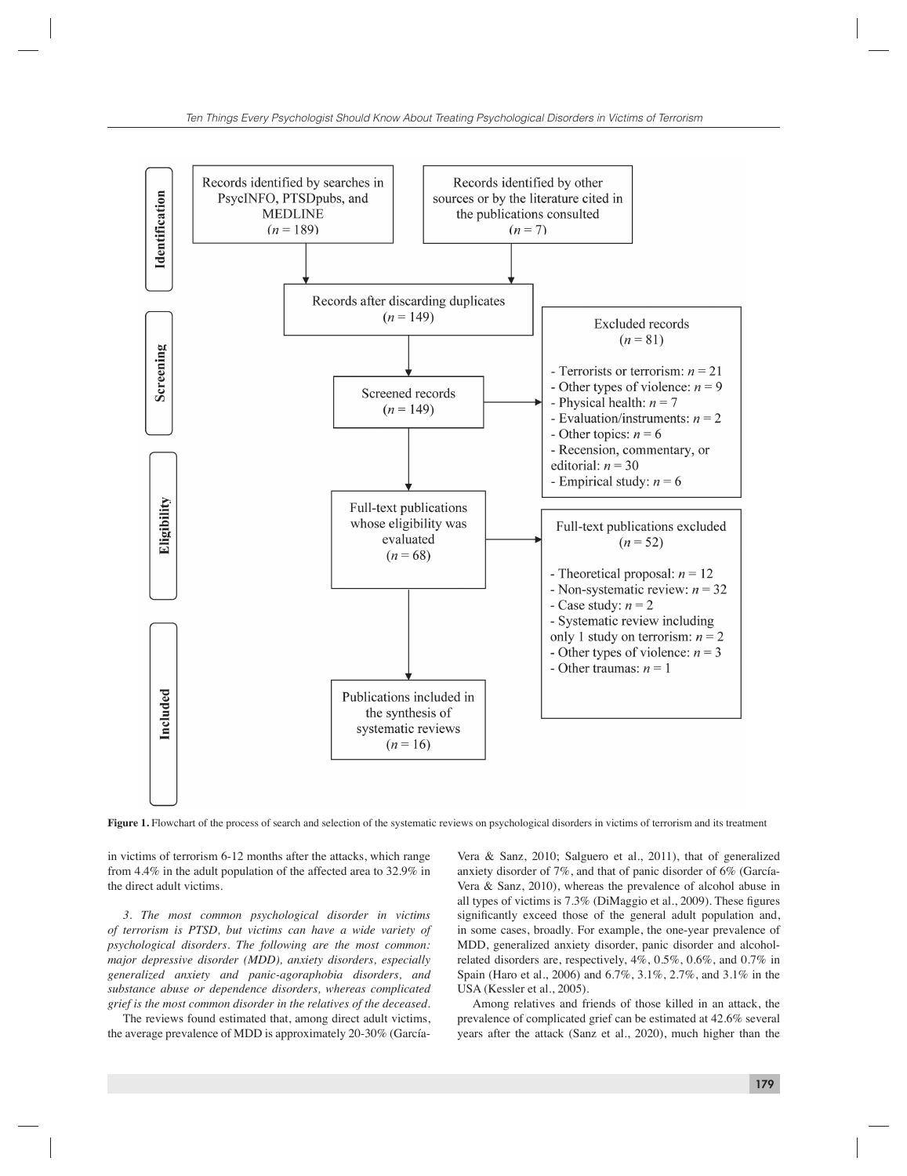

Figure 1. Flowchart of the process of search and selection of the systematic reviews on psychological disorders in victims of terrorism and its treatment

in victims of terrorism 6-12 months after the attacks, which range from 4.4% in the adult population of the affected area to 32.9% in the direct adult victims.

*3. The most common psychological disorder in victims of terrorism is PTSD, but victims can have a wide variety of psychological disorders. The following are the most common: major depressive disorder (MDD), anxiety disorders, especially generalized anxiety and panic-agoraphobia disorders, and substance abuse or dependence disorders, whereas complicated grief is the most common disorder in the relatives of the deceased.*

The reviews found estimated that, among direct adult victims, the average prevalence of MDD is approximately 20-30% (García-

Vera & Sanz, 2010; Salguero et al., 2011), that of generalized anxiety disorder of 7%, and that of panic disorder of 6% (García-Vera & Sanz, 2010), whereas the prevalence of alcohol abuse in all types of victims is  $7.3\%$  (DiMaggio et al., 2009). These figures significantly exceed those of the general adult population and, in some cases, broadly. For example, the one-year prevalence of MDD, generalized anxiety disorder, panic disorder and alcoholrelated disorders are, respectively, 4%, 0.5%, 0.6%, and 0.7% in Spain (Haro et al., 2006) and 6.7%, 3.1%, 2.7%, and 3.1% in the USA (Kessler et al., 2005).

Among relatives and friends of those killed in an attack, the prevalence of complicated grief can be estimated at 42.6% several years after the attack (Sanz et al., 2020), much higher than the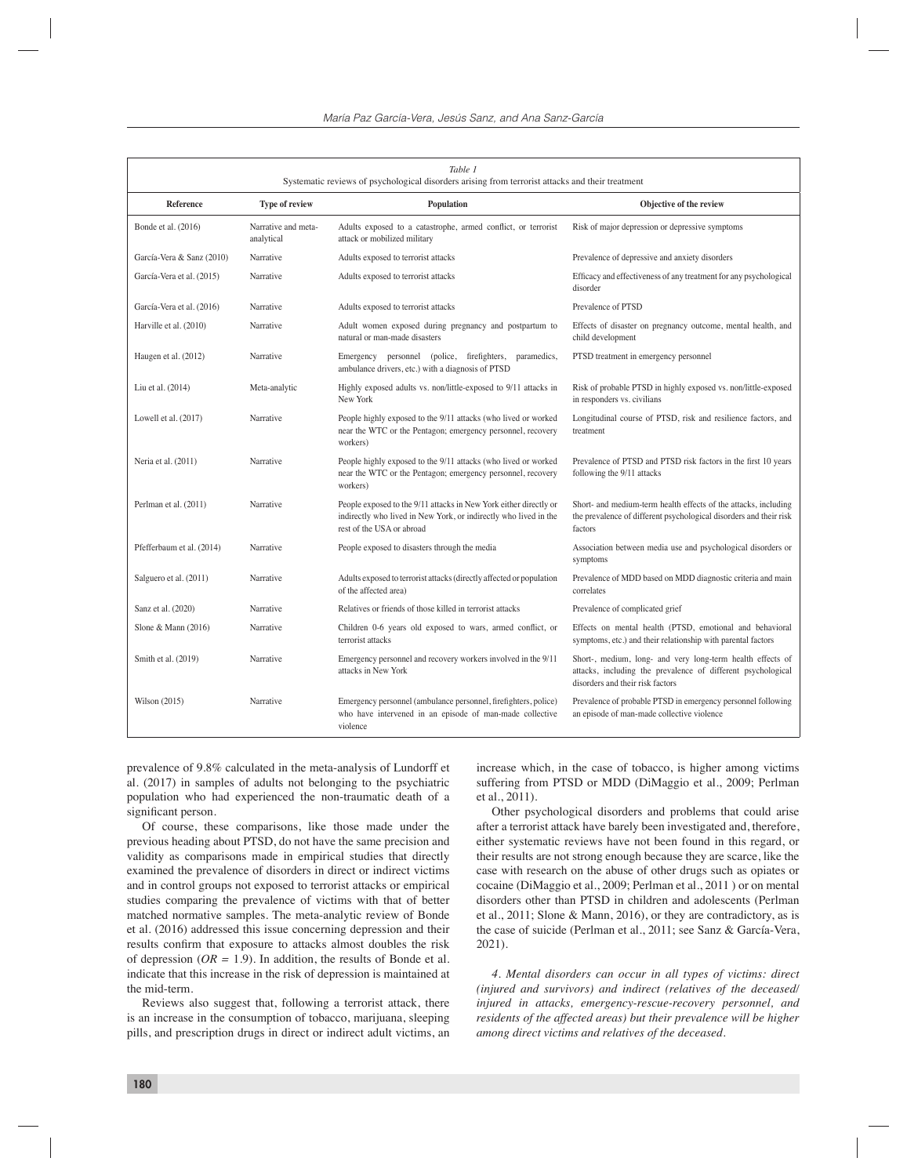| Table 1<br>Systematic reviews of psychological disorders arising from terrorist attacks and their treatment |                                   |                                                                                                                                                                    |                                                                                                                                                                |  |  |  |  |
|-------------------------------------------------------------------------------------------------------------|-----------------------------------|--------------------------------------------------------------------------------------------------------------------------------------------------------------------|----------------------------------------------------------------------------------------------------------------------------------------------------------------|--|--|--|--|
| Reference                                                                                                   | <b>Type of review</b>             | <b>Population</b>                                                                                                                                                  | Objective of the review                                                                                                                                        |  |  |  |  |
| Bonde et al. (2016)                                                                                         | Narrative and meta-<br>analytical | Adults exposed to a catastrophe, armed conflict, or terrorist<br>attack or mobilized military                                                                      | Risk of major depression or depressive symptoms                                                                                                                |  |  |  |  |
| García-Vera & Sanz (2010)                                                                                   | Narrative                         | Adults exposed to terrorist attacks                                                                                                                                | Prevalence of depressive and anxiety disorders                                                                                                                 |  |  |  |  |
| García-Vera et al. (2015)                                                                                   | Narrative                         | Adults exposed to terrorist attacks                                                                                                                                | Efficacy and effectiveness of any treatment for any psychological<br>disorder                                                                                  |  |  |  |  |
| García-Vera et al. (2016)                                                                                   | Narrative                         | Adults exposed to terrorist attacks                                                                                                                                | Prevalence of PTSD                                                                                                                                             |  |  |  |  |
| Harville et al. (2010)                                                                                      | Narrative                         | Adult women exposed during pregnancy and postpartum to<br>natural or man-made disasters                                                                            | Effects of disaster on pregnancy outcome, mental health, and<br>child development                                                                              |  |  |  |  |
| Haugen et al. (2012)                                                                                        | Narrative                         | Emergency personnel (police, firefighters,<br>paramedics,<br>ambulance drivers, etc.) with a diagnosis of PTSD                                                     | PTSD treatment in emergency personnel                                                                                                                          |  |  |  |  |
| Liu et al. (2014)                                                                                           | Meta-analytic                     | Highly exposed adults vs. non/little-exposed to 9/11 attacks in<br>New York                                                                                        | Risk of probable PTSD in highly exposed vs. non/little-exposed<br>in responders vs. civilians                                                                  |  |  |  |  |
| Lowell et al. (2017)                                                                                        | Narrative                         | People highly exposed to the 9/11 attacks (who lived or worked<br>near the WTC or the Pentagon; emergency personnel, recovery<br>workers)                          | Longitudinal course of PTSD, risk and resilience factors, and<br>treatment                                                                                     |  |  |  |  |
| Neria et al. (2011)                                                                                         | Narrative                         | People highly exposed to the 9/11 attacks (who lived or worked<br>near the WTC or the Pentagon; emergency personnel, recovery<br>workers)                          | Prevalence of PTSD and PTSD risk factors in the first 10 years<br>following the 9/11 attacks                                                                   |  |  |  |  |
| Perlman et al. (2011)                                                                                       | Narrative                         | People exposed to the 9/11 attacks in New York either directly or<br>indirectly who lived in New York, or indirectly who lived in the<br>rest of the USA or abroad | Short- and medium-term health effects of the attacks, including<br>the prevalence of different psychological disorders and their risk<br>factors               |  |  |  |  |
| Pfefferbaum et al. (2014)                                                                                   | Narrative                         | People exposed to disasters through the media                                                                                                                      | Association between media use and psychological disorders or<br>symptoms                                                                                       |  |  |  |  |
| Salguero et al. (2011)                                                                                      | Narrative                         | Adults exposed to terrorist attacks (directly affected or population<br>of the affected area)                                                                      | Prevalence of MDD based on MDD diagnostic criteria and main<br>correlates                                                                                      |  |  |  |  |
| Sanz et al. (2020)                                                                                          | Narrative                         | Relatives or friends of those killed in terrorist attacks                                                                                                          | Prevalence of complicated grief                                                                                                                                |  |  |  |  |
| Slone & Mann $(2016)$                                                                                       | Narrative                         | Children 0-6 years old exposed to wars, armed conflict, or<br>terrorist attacks                                                                                    | Effects on mental health (PTSD, emotional and behavioral<br>symptoms, etc.) and their relationship with parental factors                                       |  |  |  |  |
| Smith et al. (2019)                                                                                         | Narrative                         | Emergency personnel and recovery workers involved in the 9/11<br>attacks in New York                                                                               | Short-, medium, long- and very long-term health effects of<br>attacks, including the prevalence of different psychological<br>disorders and their risk factors |  |  |  |  |
| Wilson (2015)                                                                                               | Narrative                         | Emergency personnel (ambulance personnel, firefighters, police)<br>who have intervened in an episode of man-made collective<br>violence                            | Prevalence of probable PTSD in emergency personnel following<br>an episode of man-made collective violence                                                     |  |  |  |  |

prevalence of 9.8% calculated in the meta-analysis of Lundorff et al. (2017) in samples of adults not belonging to the psychiatric population who had experienced the non-traumatic death of a significant person.

Of course, these comparisons, like those made under the previous heading about PTSD, do not have the same precision and validity as comparisons made in empirical studies that directly examined the prevalence of disorders in direct or indirect victims and in control groups not exposed to terrorist attacks or empirical studies comparing the prevalence of victims with that of better matched normative samples. The meta-analytic review of Bonde et al. (2016) addressed this issue concerning depression and their results confirm that exposure to attacks almost doubles the risk of depression (*OR =* 1.9). In addition, the results of Bonde et al. indicate that this increase in the risk of depression is maintained at the mid-term.

Reviews also suggest that, following a terrorist attack, there is an increase in the consumption of tobacco, marijuana, sleeping pills, and prescription drugs in direct or indirect adult victims, an

increase which, in the case of tobacco, is higher among victims suffering from PTSD or MDD (DiMaggio et al., 2009; Perlman et al., 2011).

Other psychological disorders and problems that could arise after a terrorist attack have barely been investigated and, therefore, either systematic reviews have not been found in this regard, or their results are not strong enough because they are scarce, like the case with research on the abuse of other drugs such as opiates or cocaine (DiMaggio et al., 2009; Perlman et al., 2011 ) or on mental disorders other than PTSD in children and adolescents (Perlman et al., 2011; Slone & Mann, 2016), or they are contradictory, as is the case of suicide (Perlman et al., 2011; see Sanz & García-Vera, 2021).

*4. Mental disorders can occur in all types of victims: direct (injured and survivors) and indirect (relatives of the deceased/ injured in attacks, emergency-rescue-recovery personnel, and residents of the affected areas) but their prevalence will be higher among direct victims and relatives of the deceased.*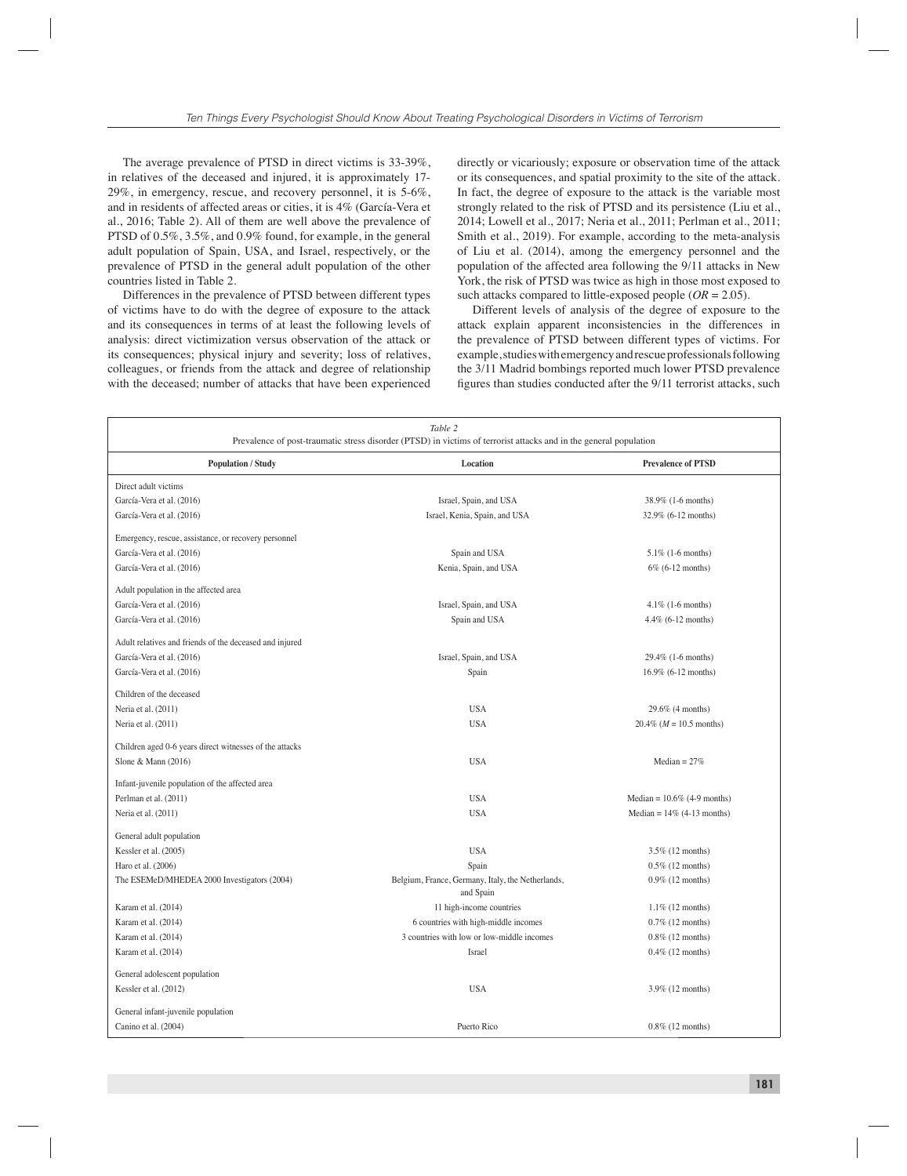The average prevalence of PTSD in direct victims is 33-39%, in relatives of the deceased and injured, it is approximately 17- 29%, in emergency, rescue, and recovery personnel, it is 5-6%, and in residents of affected areas or cities, it is 4% (García-Vera et al., 2016; Table 2). All of them are well above the prevalence of PTSD of 0.5%, 3.5%, and 0.9% found, for example, in the general adult population of Spain, USA, and Israel, respectively, or the prevalence of PTSD in the general adult population of the other countries listed in Table 2.

Differences in the prevalence of PTSD between different types of victims have to do with the degree of exposure to the attack and its consequences in terms of at least the following levels of analysis: direct victimization versus observation of the attack or its consequences; physical injury and severity; loss of relatives, colleagues, or friends from the attack and degree of relationship with the deceased; number of attacks that have been experienced directly or vicariously; exposure or observation time of the attack or its consequences, and spatial proximity to the site of the attack. In fact, the degree of exposure to the attack is the variable most strongly related to the risk of PTSD and its persistence (Liu et al., 2014; Lowell et al., 2017; Neria et al., 2011; Perlman et al., 2011; Smith et al., 2019). For example, according to the meta-analysis of Liu et al. (2014), among the emergency personnel and the population of the affected area following the 9/11 attacks in New York, the risk of PTSD was twice as high in those most exposed to such attacks compared to little-exposed people  $(OR = 2.05)$ .

Different levels of analysis of the degree of exposure to the attack explain apparent inconsistencies in the differences in the prevalence of PTSD between different types of victims. For example, studies with emergency and rescue professionals following the 3/11 Madrid bombings reported much lower PTSD prevalence figures than studies conducted after the 9/11 terrorist attacks, such

| Table 2<br>Prevalence of post-traumatic stress disorder (PTSD) in victims of terrorist attacks and in the general population |                                                                |                                    |  |  |  |
|------------------------------------------------------------------------------------------------------------------------------|----------------------------------------------------------------|------------------------------------|--|--|--|
| <b>Population / Study</b>                                                                                                    | Location                                                       | <b>Prevalence of PTSD</b>          |  |  |  |
| Direct adult victims                                                                                                         |                                                                |                                    |  |  |  |
| García-Vera et al. (2016)                                                                                                    | Israel, Spain, and USA                                         | 38.9% (1-6 months)                 |  |  |  |
| García-Vera et al. (2016)                                                                                                    | Israel, Kenia, Spain, and USA                                  | 32.9% (6-12 months)                |  |  |  |
| Emergency, rescue, assistance, or recovery personnel                                                                         |                                                                |                                    |  |  |  |
| García-Vera et al. (2016)                                                                                                    | Spain and USA                                                  | $5.1\%$ (1-6 months)               |  |  |  |
| García-Vera et al. (2016)                                                                                                    | Kenia, Spain, and USA                                          | 6% (6-12 months)                   |  |  |  |
| Adult population in the affected area                                                                                        |                                                                |                                    |  |  |  |
| García-Vera et al. (2016)                                                                                                    | Israel, Spain, and USA                                         | $4.1\%$ (1-6 months)               |  |  |  |
| García-Vera et al. (2016)                                                                                                    | Spain and USA                                                  | 4.4% (6-12 months)                 |  |  |  |
| Adult relatives and friends of the deceased and injured                                                                      |                                                                |                                    |  |  |  |
| García-Vera et al. (2016)                                                                                                    | Israel, Spain, and USA                                         | 29.4% (1-6 months)                 |  |  |  |
| García-Vera et al. (2016)                                                                                                    | Spain                                                          | 16.9% (6-12 months)                |  |  |  |
| Children of the deceased                                                                                                     |                                                                |                                    |  |  |  |
| Neria et al. (2011)                                                                                                          | <b>USA</b>                                                     | 29.6% (4 months)                   |  |  |  |
| Neria et al. (2011)                                                                                                          | <b>USA</b>                                                     | $20.4\%$ ( <i>M</i> = 10.5 months) |  |  |  |
| Children aged 0-6 years direct witnesses of the attacks                                                                      |                                                                |                                    |  |  |  |
| Slone & Mann $(2016)$                                                                                                        | <b>USA</b>                                                     | Median = $27%$                     |  |  |  |
| Infant-juvenile population of the affected area                                                                              |                                                                |                                    |  |  |  |
| Perlman et al. (2011)                                                                                                        | <b>USA</b>                                                     | Median = $10.6\%$ (4-9 months)     |  |  |  |
| Neria et al. (2011)                                                                                                          | <b>USA</b>                                                     | Median = $14\%$ (4-13 months)      |  |  |  |
| General adult population                                                                                                     |                                                                |                                    |  |  |  |
| Kessler et al. (2005)                                                                                                        | <b>USA</b>                                                     | 3.5% (12 months)                   |  |  |  |
| Haro et al. (2006)                                                                                                           | Spain                                                          | $0.5\%$ (12 months)                |  |  |  |
| The ESEMeD/MHEDEA 2000 Investigators (2004)                                                                                  | Belgium, France, Germany, Italy, the Netherlands,<br>and Spain | 0.9% (12 months)                   |  |  |  |
| Karam et al. (2014)                                                                                                          | 11 high-income countries                                       | $1.1\%$ (12 months)                |  |  |  |
| Karam et al. (2014)                                                                                                          | 6 countries with high-middle incomes                           | $0.7\%$ (12 months)                |  |  |  |
| Karam et al. (2014)                                                                                                          | 3 countries with low or low-middle incomes                     | $0.8\%$ (12 months)                |  |  |  |
| Karam et al. (2014)                                                                                                          | Israel                                                         | $0.4\%$ (12 months)                |  |  |  |
| General adolescent population                                                                                                |                                                                |                                    |  |  |  |
| Kessler et al. (2012)                                                                                                        | <b>USA</b>                                                     | 3.9% (12 months)                   |  |  |  |
| General infant-juvenile population                                                                                           |                                                                |                                    |  |  |  |
| Canino et al. (2004)                                                                                                         | Puerto Rico                                                    | $0.8\%$ (12 months)                |  |  |  |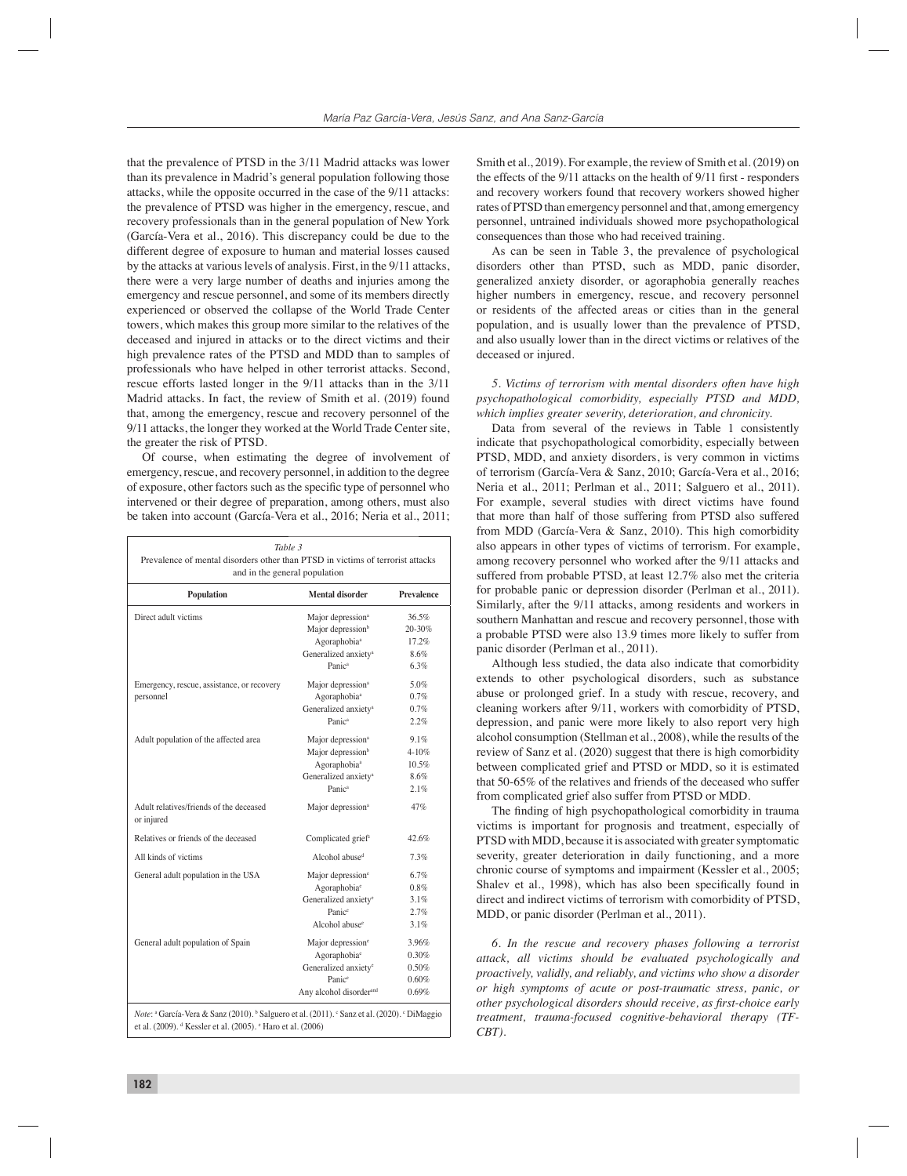that the prevalence of PTSD in the 3/11 Madrid attacks was lower than its prevalence in Madrid's general population following those attacks, while the opposite occurred in the case of the 9/11 attacks: the prevalence of PTSD was higher in the emergency, rescue, and recovery professionals than in the general population of New York (García-Vera et al., 2016). This discrepancy could be due to the different degree of exposure to human and material losses caused by the attacks at various levels of analysis. First, in the 9/11 attacks, there were a very large number of deaths and injuries among the emergency and rescue personnel, and some of its members directly experienced or observed the collapse of the World Trade Center towers, which makes this group more similar to the relatives of the deceased and injured in attacks or to the direct victims and their high prevalence rates of the PTSD and MDD than to samples of professionals who have helped in other terrorist attacks. Second, rescue efforts lasted longer in the 9/11 attacks than in the 3/11 Madrid attacks. In fact, the review of Smith et al. (2019) found that, among the emergency, rescue and recovery personnel of the 9/11 attacks, the longer they worked at the World Trade Center site, the greater the risk of PTSD.

Of course, when estimating the degree of involvement of emergency, rescue, and recovery personnel, in addition to the degree of exposure, other factors such as the specific type of personnel who intervened or their degree of preparation, among others, must also be taken into account (García-Vera et al., 2016; Neria et al., 2011;

| Table 3<br>Prevalence of mental disorders other than PTSD in victims of terrorist attacks<br>and in the general population |                                                                                                                                                   |                                            |  |  |  |
|----------------------------------------------------------------------------------------------------------------------------|---------------------------------------------------------------------------------------------------------------------------------------------------|--------------------------------------------|--|--|--|
| Population                                                                                                                 | Mental disorder                                                                                                                                   | Prevalence                                 |  |  |  |
| Direct adult victims                                                                                                       | Major depression <sup>a</sup><br>Major depression <sup>b</sup>                                                                                    | 36.5%<br>$20 - 30%$                        |  |  |  |
|                                                                                                                            | Agoraphobia <sup>a</sup><br>Generalized anxietv <sup>a</sup><br>Panica                                                                            | 17.2%<br>8.6%<br>6.3%                      |  |  |  |
| Emergency, rescue, assistance, or recovery<br>personnel                                                                    | Major depression <sup>a</sup><br>Agoraphobia <sup>ª</sup><br>Generalized anxiety <sup>a</sup><br>Panica                                           | 5.0%<br>0.7%<br>0.7%<br>2.2%               |  |  |  |
| Adult population of the affected area                                                                                      | Major depression <sup>a</sup><br>Major depression <sup>b</sup><br>Agoraphobia <sup>a</sup><br>Generalized anxiety <sup>a</sup><br>Panica          | 9.1%<br>$4 - 10%$<br>10.5%<br>8.6%<br>2.1% |  |  |  |
| Adult relatives/friends of the deceased<br>or injured                                                                      | Major depression <sup>a</sup>                                                                                                                     | 47%                                        |  |  |  |
| Relatives or friends of the deceased                                                                                       | Complicated grief <sup>c</sup>                                                                                                                    | 42.6%                                      |  |  |  |
| All kinds of victims                                                                                                       | Alcohol abuse <sup>d</sup>                                                                                                                        | 7.3%                                       |  |  |  |
| General adult population in the USA                                                                                        | Major depression <sup>e</sup><br>Agoraphobia <sup>e</sup><br>Generalized anxiety <sup>e</sup><br>Panic <sup>e</sup><br>Alcohol abuse <sup>e</sup> | 6.7%<br>$0.8\%$<br>3.1%<br>2.7%<br>3.1%    |  |  |  |
| General adult population of Spain                                                                                          | Major depression <sup>e</sup><br>Agoraphobia <sup>e</sup><br>Generalized anxiety <sup>e</sup><br>Panice<br>Any alcohol disorderand                | 3.96%<br>0.30%<br>0.50%<br>0.60%<br>0.69%  |  |  |  |

Note: <sup>a</sup> García-Vera & Sanz (2010). <sup>b</sup> Salguero et al. (2011). <sup>c</sup> Sanz et al. (2020). <sup>c</sup> DiMaggio et al. (2009). <sup>d</sup> Kessler et al. (2005). <sup>e</sup> Haro et al. (2006)

Smith et al., 2019). For example, the review of Smith et al. (2019) on the effects of the  $9/11$  attacks on the health of  $9/11$  first - responders and recovery workers found that recovery workers showed higher rates of PTSD than emergency personnel and that, among emergency personnel, untrained individuals showed more psychopathological consequences than those who had received training.

As can be seen in Table 3, the prevalence of psychological disorders other than PTSD, such as MDD, panic disorder, generalized anxiety disorder, or agoraphobia generally reaches higher numbers in emergency, rescue, and recovery personnel or residents of the affected areas or cities than in the general population, and is usually lower than the prevalence of PTSD, and also usually lower than in the direct victims or relatives of the deceased or injured.

*5. Victims of terrorism with mental disorders often have high psychopathological comorbidity, especially PTSD and MDD, which implies greater severity, deterioration, and chronicity.*

Data from several of the reviews in Table 1 consistently indicate that psychopathological comorbidity, especially between PTSD, MDD, and anxiety disorders, is very common in victims of terrorism (García-Vera & Sanz, 2010; García-Vera et al., 2016; Neria et al., 2011; Perlman et al., 2011; Salguero et al., 2011). For example, several studies with direct victims have found that more than half of those suffering from PTSD also suffered from MDD (García-Vera & Sanz, 2010). This high comorbidity also appears in other types of victims of terrorism. For example, among recovery personnel who worked after the 9/11 attacks and suffered from probable PTSD, at least 12.7% also met the criteria for probable panic or depression disorder (Perlman et al., 2011). Similarly, after the 9/11 attacks, among residents and workers in southern Manhattan and rescue and recovery personnel, those with a probable PTSD were also 13.9 times more likely to suffer from panic disorder (Perlman et al., 2011).

Although less studied, the data also indicate that comorbidity extends to other psychological disorders, such as substance abuse or prolonged grief. In a study with rescue, recovery, and cleaning workers after 9/11, workers with comorbidity of PTSD, depression, and panic were more likely to also report very high alcohol consumption (Stellman et al., 2008), while the results of the review of Sanz et al. (2020) suggest that there is high comorbidity between complicated grief and PTSD or MDD, so it is estimated that 50-65% of the relatives and friends of the deceased who suffer from complicated grief also suffer from PTSD or MDD.

The finding of high psychopathological comorbidity in trauma victims is important for prognosis and treatment, especially of PTSD with MDD, because it is associated with greater symptomatic severity, greater deterioration in daily functioning, and a more chronic course of symptoms and impairment (Kessler et al., 2005; Shalev et al., 1998), which has also been specifically found in direct and indirect victims of terrorism with comorbidity of PTSD, MDD, or panic disorder (Perlman et al., 2011).

*6. In the rescue and recovery phases following a terrorist attack, all victims should be evaluated psychologically and proactively, validly, and reliably, and victims who show a disorder or high symptoms of acute or post-traumatic stress, panic, or other psychological disorders should receive, as first-choice early treatment, trauma-focused cognitive-behavioral therapy (TF-CBT).*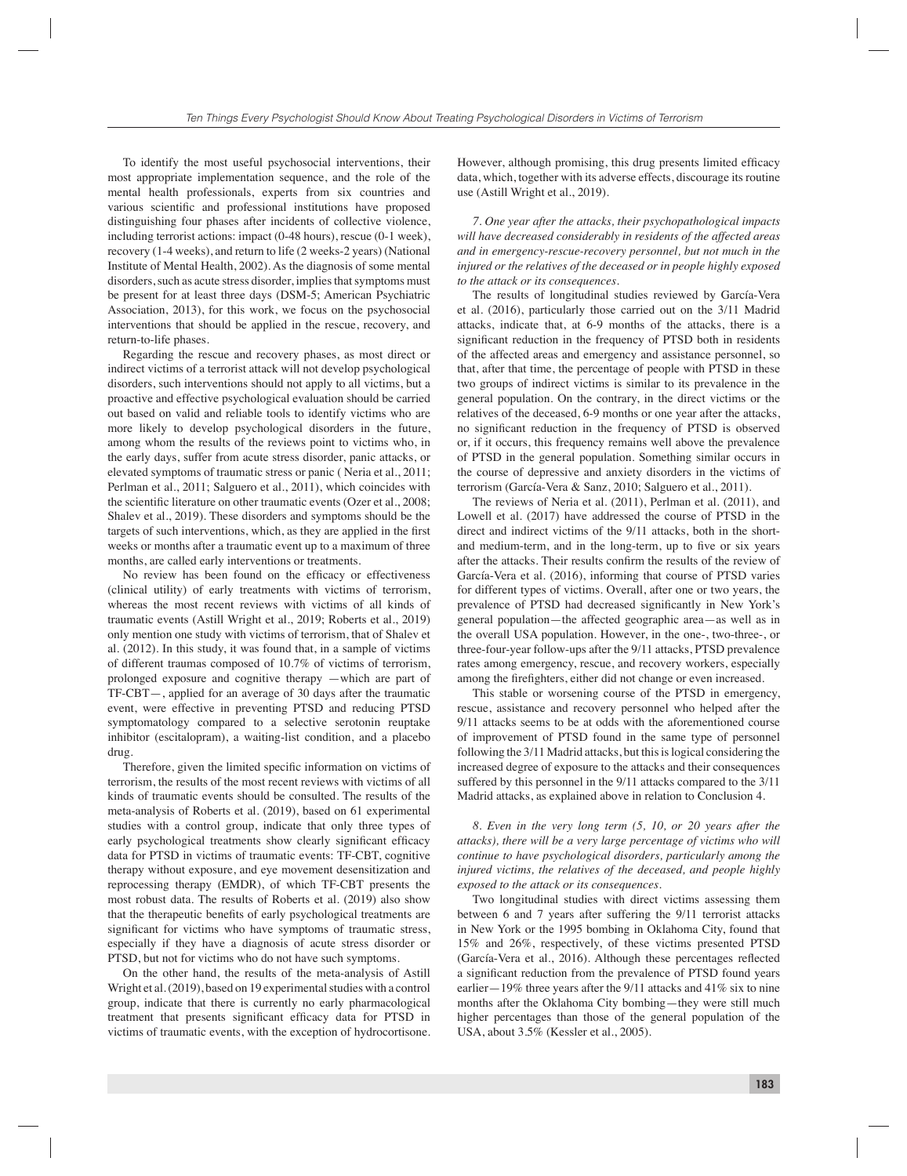To identify the most useful psychosocial interventions, their most appropriate implementation sequence, and the role of the mental health professionals, experts from six countries and various scientific and professional institutions have proposed distinguishing four phases after incidents of collective violence, including terrorist actions: impact (0-48 hours), rescue (0-1 week), recovery (1-4 weeks), and return to life (2 weeks-2 years) (National Institute of Mental Health, 2002). As the diagnosis of some mental disorders, such as acute stress disorder, implies that symptoms must be present for at least three days (DSM-5; American Psychiatric Association, 2013), for this work, we focus on the psychosocial interventions that should be applied in the rescue, recovery, and return-to-life phases.

Regarding the rescue and recovery phases, as most direct or indirect victims of a terrorist attack will not develop psychological disorders, such interventions should not apply to all victims, but a proactive and effective psychological evaluation should be carried out based on valid and reliable tools to identify victims who are more likely to develop psychological disorders in the future, among whom the results of the reviews point to victims who, in the early days, suffer from acute stress disorder, panic attacks, or elevated symptoms of traumatic stress or panic ( Neria et al., 2011; Perlman et al., 2011; Salguero et al., 2011), which coincides with the scientific literature on other traumatic events (Ozer et al., 2008; Shalev et al., 2019). These disorders and symptoms should be the targets of such interventions, which, as they are applied in the first weeks or months after a traumatic event up to a maximum of three months, are called early interventions or treatments.

No review has been found on the efficacy or effectiveness (clinical utility) of early treatments with victims of terrorism, whereas the most recent reviews with victims of all kinds of traumatic events (Astill Wright et al., 2019; Roberts et al., 2019) only mention one study with victims of terrorism, that of Shalev et al. (2012). In this study, it was found that, in a sample of victims of different traumas composed of 10.7% of victims of terrorism, prolonged exposure and cognitive therapy —which are part of TF-CBT—, applied for an average of 30 days after the traumatic event, were effective in preventing PTSD and reducing PTSD symptomatology compared to a selective serotonin reuptake inhibitor (escitalopram), a waiting-list condition, and a placebo drug.

Therefore, given the limited specific information on victims of terrorism, the results of the most recent reviews with victims of all kinds of traumatic events should be consulted. The results of the meta-analysis of Roberts et al. (2019), based on 61 experimental studies with a control group, indicate that only three types of early psychological treatments show clearly significant efficacy data for PTSD in victims of traumatic events: TF-CBT, cognitive therapy without exposure, and eye movement desensitization and reprocessing therapy (EMDR), of which TF-CBT presents the most robust data. The results of Roberts et al. (2019) also show that the therapeutic benefits of early psychological treatments are significant for victims who have symptoms of traumatic stress, especially if they have a diagnosis of acute stress disorder or PTSD, but not for victims who do not have such symptoms.

On the other hand, the results of the meta-analysis of Astill Wright et al. (2019), based on 19 experimental studies with a control group, indicate that there is currently no early pharmacological treatment that presents significant efficacy data for PTSD in victims of traumatic events, with the exception of hydrocortisone.

However, although promising, this drug presents limited efficacy data, which, together with its adverse effects, discourage its routine use (Astill Wright et al., 2019).

*7. One year after the attacks, their psychopathological impacts will have decreased considerably in residents of the affected areas and in emergency-rescue-recovery personnel, but not much in the injured or the relatives of the deceased or in people highly exposed to the attack or its consequences.*

The results of longitudinal studies reviewed by García-Vera et al. (2016), particularly those carried out on the 3/11 Madrid attacks, indicate that, at 6-9 months of the attacks, there is a significant reduction in the frequency of PTSD both in residents of the affected areas and emergency and assistance personnel, so that, after that time, the percentage of people with PTSD in these two groups of indirect victims is similar to its prevalence in the general population. On the contrary, in the direct victims or the relatives of the deceased, 6-9 months or one year after the attacks, no significant reduction in the frequency of PTSD is observed or, if it occurs, this frequency remains well above the prevalence of PTSD in the general population. Something similar occurs in the course of depressive and anxiety disorders in the victims of terrorism (García-Vera & Sanz, 2010; Salguero et al., 2011).

The reviews of Neria et al. (2011), Perlman et al. (2011), and Lowell et al. (2017) have addressed the course of PTSD in the direct and indirect victims of the 9/11 attacks, both in the shortand medium-term, and in the long-term, up to five or six years after the attacks. Their results confirm the results of the review of García-Vera et al. (2016), informing that course of PTSD varies for different types of victims. Overall, after one or two years, the prevalence of PTSD had decreased significantly in New York's general population—the affected geographic area—as well as in the overall USA population. However, in the one-, two-three-, or three-four-year follow-ups after the 9/11 attacks, PTSD prevalence rates among emergency, rescue, and recovery workers, especially among the firefighters, either did not change or even increased.

This stable or worsening course of the PTSD in emergency, rescue, assistance and recovery personnel who helped after the 9/11 attacks seems to be at odds with the aforementioned course of improvement of PTSD found in the same type of personnel following the 3/11 Madrid attacks, but this is logical considering the increased degree of exposure to the attacks and their consequences suffered by this personnel in the 9/11 attacks compared to the 3/11 Madrid attacks, as explained above in relation to Conclusion 4.

*8. Even in the very long term (5, 10, or 20 years after the attacks), there will be a very large percentage of victims who will continue to have psychological disorders, particularly among the injured victims, the relatives of the deceased, and people highly exposed to the attack or its consequences.*

Two longitudinal studies with direct victims assessing them between 6 and 7 years after suffering the 9/11 terrorist attacks in New York or the 1995 bombing in Oklahoma City, found that 15% and 26%, respectively, of these victims presented PTSD (García-Vera et al., 2016). Although these percentages reflected a significant reduction from the prevalence of PTSD found years earlier—19% three years after the 9/11 attacks and 41% six to nine months after the Oklahoma City bombing—they were still much higher percentages than those of the general population of the USA, about 3.5% (Kessler et al., 2005).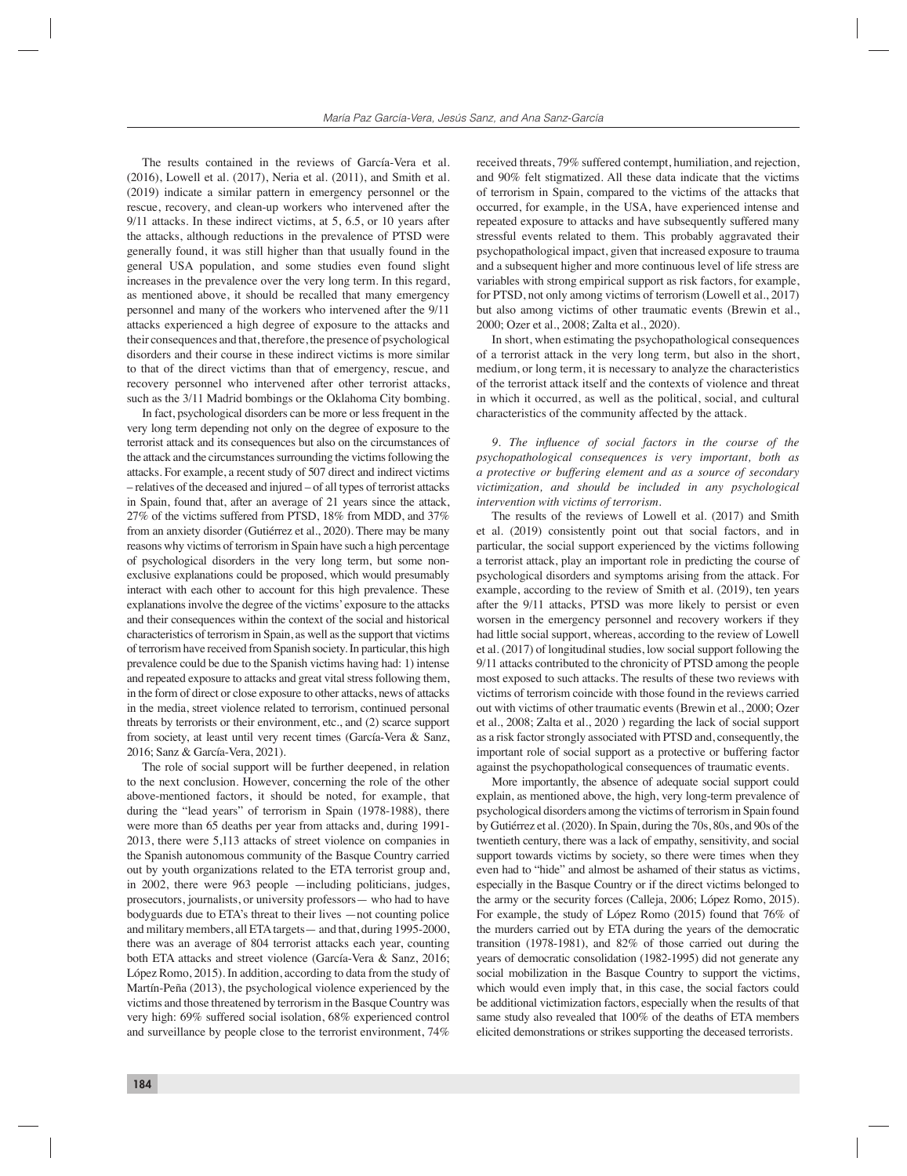The results contained in the reviews of García-Vera et al. (2016), Lowell et al. (2017), Neria et al. (2011), and Smith et al. (2019) indicate a similar pattern in emergency personnel or the rescue, recovery, and clean-up workers who intervened after the 9/11 attacks. In these indirect victims, at 5, 6.5, or 10 years after the attacks, although reductions in the prevalence of PTSD were generally found, it was still higher than that usually found in the general USA population, and some studies even found slight increases in the prevalence over the very long term. In this regard, as mentioned above, it should be recalled that many emergency personnel and many of the workers who intervened after the 9/11 attacks experienced a high degree of exposure to the attacks and their consequences and that, therefore, the presence of psychological disorders and their course in these indirect victims is more similar to that of the direct victims than that of emergency, rescue, and recovery personnel who intervened after other terrorist attacks, such as the 3/11 Madrid bombings or the Oklahoma City bombing.

In fact, psychological disorders can be more or less frequent in the very long term depending not only on the degree of exposure to the terrorist attack and its consequences but also on the circumstances of the attack and the circumstances surrounding the victims following the attacks. For example, a recent study of 507 direct and indirect victims – relatives of the deceased and injured – of all types of terrorist attacks in Spain, found that, after an average of 21 years since the attack, 27% of the victims suffered from PTSD, 18% from MDD, and 37% from an anxiety disorder (Gutiérrez et al., 2020). There may be many reasons why victims of terrorism in Spain have such a high percentage of psychological disorders in the very long term, but some nonexclusive explanations could be proposed, which would presumably interact with each other to account for this high prevalence. These explanations involve the degree of the victims' exposure to the attacks and their consequences within the context of the social and historical characteristics of terrorism in Spain, as well as the support that victims of terrorism have received from Spanish society. In particular, this high prevalence could be due to the Spanish victims having had: 1) intense and repeated exposure to attacks and great vital stress following them, in the form of direct or close exposure to other attacks, news of attacks in the media, street violence related to terrorism, continued personal threats by terrorists or their environment, etc., and (2) scarce support from society, at least until very recent times (García-Vera & Sanz, 2016; Sanz & García-Vera, 2021).

The role of social support will be further deepened, in relation to the next conclusion. However, concerning the role of the other above-mentioned factors, it should be noted, for example, that during the "lead years" of terrorism in Spain (1978-1988), there were more than 65 deaths per year from attacks and, during 1991- 2013, there were 5,113 attacks of street violence on companies in the Spanish autonomous community of the Basque Country carried out by youth organizations related to the ETA terrorist group and, in 2002, there were 963 people —including politicians, judges, prosecutors, journalists, or university professors— who had to have bodyguards due to ETA's threat to their lives —not counting police and military members, all ETA targets— and that, during 1995-2000, there was an average of 804 terrorist attacks each year, counting both ETA attacks and street violence (García-Vera & Sanz, 2016; López Romo, 2015). In addition, according to data from the study of Martín-Peña (2013), the psychological violence experienced by the victims and those threatened by terrorism in the Basque Country was very high: 69% suffered social isolation, 68% experienced control and surveillance by people close to the terrorist environment, 74%

received threats, 79% suffered contempt, humiliation, and rejection, and 90% felt stigmatized. All these data indicate that the victims of terrorism in Spain, compared to the victims of the attacks that occurred, for example, in the USA, have experienced intense and repeated exposure to attacks and have subsequently suffered many stressful events related to them. This probably aggravated their psychopathological impact, given that increased exposure to trauma and a subsequent higher and more continuous level of life stress are variables with strong empirical support as risk factors, for example, for PTSD, not only among victims of terrorism (Lowell et al., 2017) but also among victims of other traumatic events (Brewin et al., 2000; Ozer et al., 2008; Zalta et al., 2020).

In short, when estimating the psychopathological consequences of a terrorist attack in the very long term, but also in the short, medium, or long term, it is necessary to analyze the characteristics of the terrorist attack itself and the contexts of violence and threat in which it occurred, as well as the political, social, and cultural characteristics of the community affected by the attack.

9. The influence of social factors in the course of the *psychopathological consequences is very important, both as a protective or buffering element and as a source of secondary victimization, and should be included in any psychological intervention with victims of terrorism.*

The results of the reviews of Lowell et al. (2017) and Smith et al. (2019) consistently point out that social factors, and in particular, the social support experienced by the victims following a terrorist attack, play an important role in predicting the course of psychological disorders and symptoms arising from the attack. For example, according to the review of Smith et al. (2019), ten years after the 9/11 attacks, PTSD was more likely to persist or even worsen in the emergency personnel and recovery workers if they had little social support, whereas, according to the review of Lowell et al. (2017) of longitudinal studies, low social support following the 9/11 attacks contributed to the chronicity of PTSD among the people most exposed to such attacks. The results of these two reviews with victims of terrorism coincide with those found in the reviews carried out with victims of other traumatic events (Brewin et al., 2000; Ozer et al., 2008; Zalta et al., 2020 ) regarding the lack of social support as a risk factor strongly associated with PTSD and, consequently, the important role of social support as a protective or buffering factor against the psychopathological consequences of traumatic events.

More importantly, the absence of adequate social support could explain, as mentioned above, the high, very long-term prevalence of psychological disorders among the victims of terrorism in Spain found by Gutiérrez et al. (2020). In Spain, during the 70s, 80s, and 90s of the twentieth century, there was a lack of empathy, sensitivity, and social support towards victims by society, so there were times when they even had to "hide" and almost be ashamed of their status as victims, especially in the Basque Country or if the direct victims belonged to the army or the security forces (Calleja, 2006; López Romo, 2015). For example, the study of López Romo (2015) found that 76% of the murders carried out by ETA during the years of the democratic transition (1978-1981), and 82% of those carried out during the years of democratic consolidation (1982-1995) did not generate any social mobilization in the Basque Country to support the victims, which would even imply that, in this case, the social factors could be additional victimization factors, especially when the results of that same study also revealed that 100% of the deaths of ETA members elicited demonstrations or strikes supporting the deceased terrorists.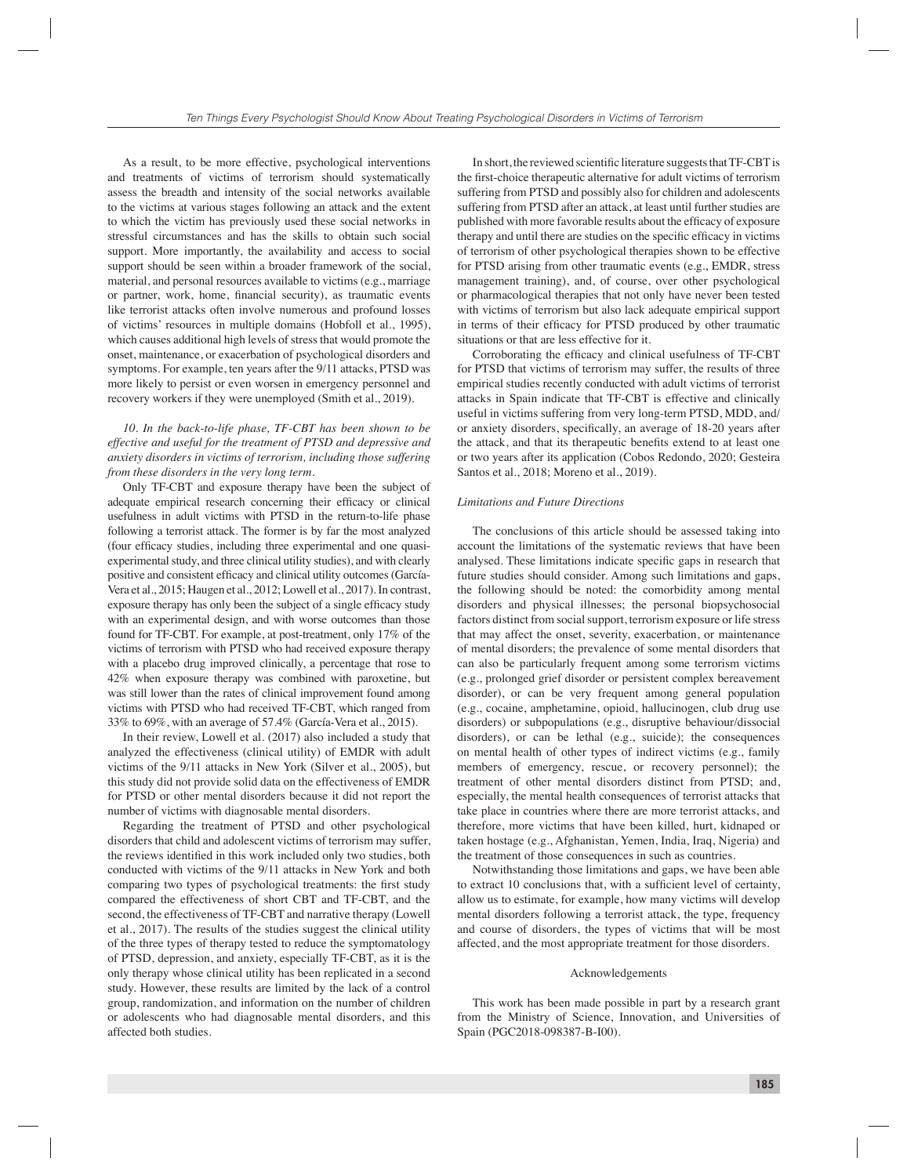As a result, to be more effective, psychological interventions and treatments of victims of terrorism should systematically assess the breadth and intensity of the social networks available to the victims at various stages following an attack and the extent to which the victim has previously used these social networks in stressful circumstances and has the skills to obtain such social support. More importantly, the availability and access to social support should be seen within a broader framework of the social, material, and personal resources available to victims (e.g., marriage or partner, work, home, financial security), as traumatic events like terrorist attacks often involve numerous and profound losses of victims' resources in multiple domains (Hobfoll et al., 1995), which causes additional high levels of stress that would promote the onset, maintenance, or exacerbation of psychological disorders and symptoms. For example, ten years after the 9/11 attacks, PTSD was more likely to persist or even worsen in emergency personnel and recovery workers if they were unemployed (Smith et al., 2019).

# *10. In the back-to-life phase, TF-CBT has been shown to be effective and useful for the treatment of PTSD and depressive and anxiety disorders in victims of terrorism, including those suffering from these disorders in the very long term.*

Only TF-CBT and exposure therapy have been the subject of adequate empirical research concerning their efficacy or clinical usefulness in adult victims with PTSD in the return-to-life phase following a terrorist attack. The former is by far the most analyzed (four efficacy studies, including three experimental and one quasiexperimental study, and three clinical utility studies), and with clearly positive and consistent efficacy and clinical utility outcomes (García-Vera et al., 2015; Haugen et al., 2012; Lowell et al., 2017). In contrast, exposure therapy has only been the subject of a single efficacy study with an experimental design, and with worse outcomes than those found for TF-CBT. For example, at post-treatment, only 17% of the victims of terrorism with PTSD who had received exposure therapy with a placebo drug improved clinically, a percentage that rose to 42% when exposure therapy was combined with paroxetine, but was still lower than the rates of clinical improvement found among victims with PTSD who had received TF-CBT, which ranged from 33% to 69%, with an average of 57.4% (García-Vera et al., 2015).

In their review, Lowell et al. (2017) also included a study that analyzed the effectiveness (clinical utility) of EMDR with adult victims of the 9/11 attacks in New York (Silver et al., 2005), but this study did not provide solid data on the effectiveness of EMDR for PTSD or other mental disorders because it did not report the number of victims with diagnosable mental disorders.

Regarding the treatment of PTSD and other psychological disorders that child and adolescent victims of terrorism may suffer, the reviews identified in this work included only two studies, both conducted with victims of the 9/11 attacks in New York and both comparing two types of psychological treatments: the first study compared the effectiveness of short CBT and TF-CBT, and the second, the effectiveness of TF-CBT and narrative therapy (Lowell et al., 2017). The results of the studies suggest the clinical utility of the three types of therapy tested to reduce the symptomatology of PTSD, depression, and anxiety, especially TF-CBT, as it is the only therapy whose clinical utility has been replicated in a second study. However, these results are limited by the lack of a control group, randomization, and information on the number of children or adolescents who had diagnosable mental disorders, and this affected both studies.

In short, the reviewed scientific literature suggests that TF-CBT is the first-choice therapeutic alternative for adult victims of terrorism suffering from PTSD and possibly also for children and adolescents suffering from PTSD after an attack, at least until further studies are published with more favorable results about the efficacy of exposure therapy and until there are studies on the specific efficacy in victims of terrorism of other psychological therapies shown to be effective for PTSD arising from other traumatic events (e.g., EMDR, stress management training), and, of course, over other psychological or pharmacological therapies that not only have never been tested with victims of terrorism but also lack adequate empirical support in terms of their efficacy for PTSD produced by other traumatic situations or that are less effective for it.

Corroborating the efficacy and clinical usefulness of TF-CBT for PTSD that victims of terrorism may suffer, the results of three empirical studies recently conducted with adult victims of terrorist attacks in Spain indicate that TF-CBT is effective and clinically useful in victims suffering from very long-term PTSD, MDD, and/ or anxiety disorders, specifically, an average of 18-20 years after the attack, and that its therapeutic benefits extend to at least one or two years after its application (Cobos Redondo, 2020; Gesteira Santos et al., 2018; Moreno et al., 2019).

#### *Limitations and Future Directions*

The conclusions of this article should be assessed taking into account the limitations of the systematic reviews that have been analysed. These limitations indicate specific gaps in research that future studies should consider. Among such limitations and gaps, the following should be noted: the comorbidity among mental disorders and physical illnesses; the personal biopsychosocial factors distinct from social support, terrorism exposure or life stress that may affect the onset, severity, exacerbation, or maintenance of mental disorders; the prevalence of some mental disorders that can also be particularly frequent among some terrorism victims (e.g., prolonged grief disorder or persistent complex bereavement disorder), or can be very frequent among general population (e.g., cocaine, amphetamine, opioid, hallucinogen, club drug use disorders) or subpopulations (e.g., disruptive behaviour/dissocial disorders), or can be lethal (e.g., suicide); the consequences on mental health of other types of indirect victims (e.g., family members of emergency, rescue, or recovery personnel); the treatment of other mental disorders distinct from PTSD; and, especially, the mental health consequences of terrorist attacks that take place in countries where there are more terrorist attacks, and therefore, more victims that have been killed, hurt, kidnaped or taken hostage (e.g., Afghanistan, Yemen, India, Iraq, Nigeria) and the treatment of those consequences in such as countries.

Notwithstanding those limitations and gaps, we have been able to extract 10 conclusions that, with a sufficient level of certainty, allow us to estimate, for example, how many victims will develop mental disorders following a terrorist attack, the type, frequency and course of disorders, the types of victims that will be most affected, and the most appropriate treatment for those disorders.

#### Acknowledgements

This work has been made possible in part by a research grant from the Ministry of Science, Innovation, and Universities of Spain (PGC2018-098387-B-I00).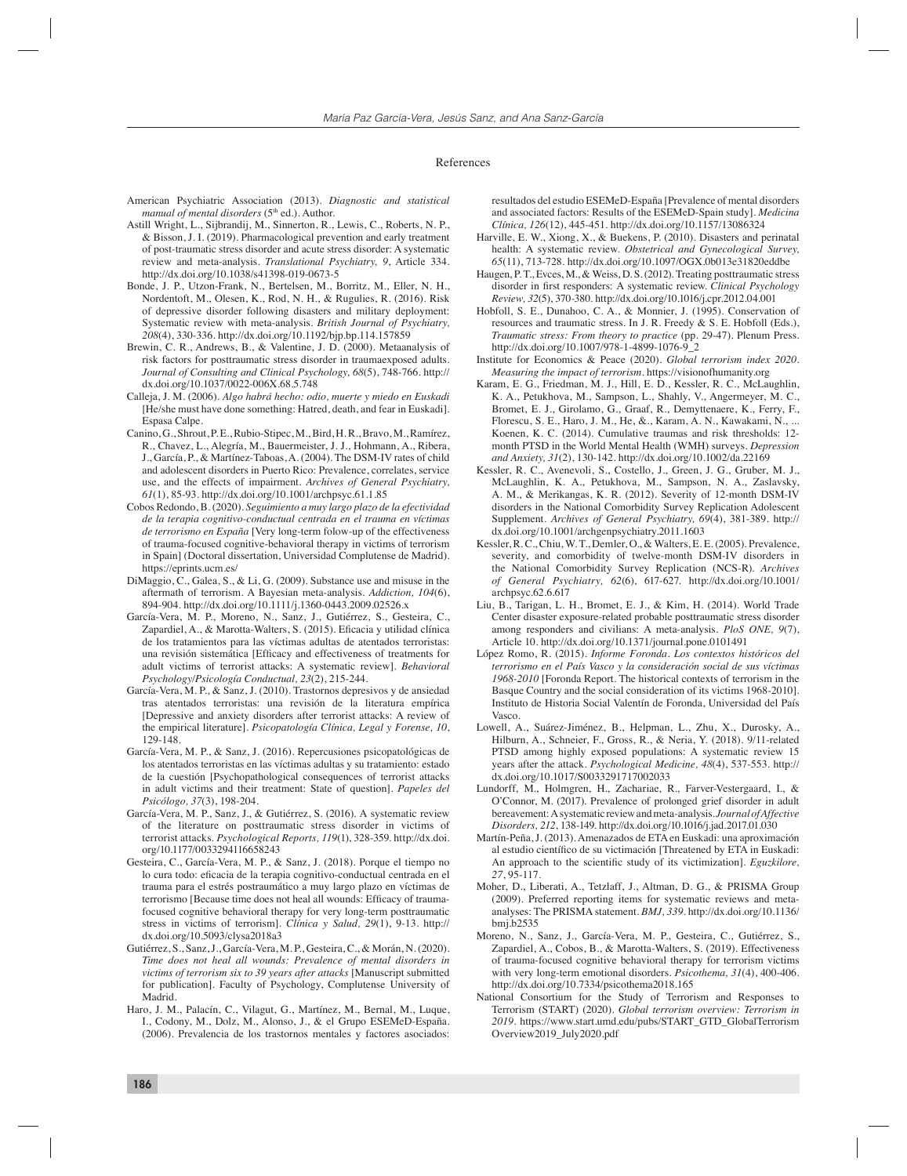#### References

- American Psychiatric Association (2013). *Diagnostic and statistical manual of mental disorders* (5<sup>th</sup> ed.). Author.
- Astill Wright, L., Sijbrandij, M., Sinnerton, R., Lewis, C., Roberts, N. P., & Bisson, J. I. (2019). Pharmacological prevention and early treatment of post-traumatic stress disorder and acute stress disorder: A systematic review and meta-analysis. *Translational Psychiatry, 9*, Article 334. http://dx.doi.org/10.1038/s41398-019-0673-5
- Bonde, J. P., Utzon-Frank, N., Bertelsen, M., Borritz, M., Eller, N. H., Nordentoft, M., Olesen, K., Rod, N. H., & Rugulies, R. (2016). Risk of depressive disorder following disasters and military deployment: Systematic review with meta-analysis. *British Journal of Psychiatry, 208*(4), 330-336. http://dx.doi.org/10.1192/bjp.bp.114.157859
- Brewin, C. R., Andrews, B., & Valentine, J. D. (2000). Metaanalysis of risk factors for posttraumatic stress disorder in traumaexposed adults. *Journal of Consulting and Clinical Psychology, 68*(5), 748-766. http:// dx.doi.org/10.1037/0022-006X.68.5.748
- Calleja, J. M. (2006). *Algo habrá hecho: odio, muerte y miedo en Euskadi* [He/she must have done something: Hatred, death, and fear in Euskadi]. Espasa Calpe.
- Canino, G., Shrout, P. E., Rubio-Stipec, M., Bird, H. R., Bravo, M., Ramírez, R., Chavez, L., Alegría, M., Bauermeister, J. J., Hohmann, A., Ribera, J., García, P., & Martínez-Taboas, A. (2004). The DSM-IV rates of child and adolescent disorders in Puerto Rico: Prevalence, correlates, service use, and the effects of impairment. *Archives of General Psychiatry, 61*(1), 85-93. http://dx.doi.org/10.1001/archpsyc.61.1.85
- Cobos Redondo, B. (2020). *Seguimiento a muy largo plazo de la efectividad de la terapia cognitivo-conductual centrada en el trauma en víctimas de terrorismo en España* [Very long-term folow-up of the effectiveness of trauma-focused cognitive-behavioral therapy in victims of terrorism in Spain] (Doctoral dissertation, Universidad Complutense de Madrid). https://eprints.ucm.es/
- DiMaggio, C., Galea, S., & Li, G. (2009). Substance use and misuse in the aftermath of terrorism. A Bayesian meta-analysis. *Addiction, 104*(6), 894-904. http://dx.doi.org/10.1111/j.1360-0443.2009.02526.x
- García-Vera, M. P., Moreno, N., Sanz, J., Gutiérrez, S., Gesteira, C., Zapardiel, A., & Marotta-Walters, S. (2015). Eficacia y utilidad clínica de los tratamientos para las víctimas adultas de atentados terroristas: una revisión sistemática [Efficacy and effectiveness of treatments for adult victims of terrorist attacks: A systematic review]. *Behavioral Psychology/Psicología Conductual, 23*(2), 215-244.
- García-Vera, M. P., & Sanz, J. (2010). Trastornos depresivos y de ansiedad tras atentados terroristas: una revisión de la literatura empírica [Depressive and anxiety disorders after terrorist attacks: A review of the empirical literature]. *Psicopatología Clínica, Legal y Forense, 10*, 129-148.
- García-Vera, M. P., & Sanz, J. (2016). Repercusiones psicopatológicas de los atentados terroristas en las víctimas adultas y su tratamiento: estado de la cuestión [Psychopathological consequences of terrorist attacks in adult victims and their treatment: State of question]. *Papeles del Psicólogo, 37*(3), 198-204.
- García-Vera, M. P., Sanz, J., & Gutiérrez, S. (2016). A systematic review of the literature on posttraumatic stress disorder in victims of terrorist attacks. *Psychological Reports, 119*(1), 328-359. http://dx.doi. org/10.1177/0033294116658243
- Gesteira, C., García-Vera, M. P., & Sanz, J. (2018). Porque el tiempo no lo cura todo: eficacia de la terapia cognitivo-conductual centrada en el trauma para el estrés postraumático a muy largo plazo en víctimas de terrorismo [Because time does not heal all wounds: Efficacy of traumafocused cognitive behavioral therapy for very long-term posttraumatic stress in victims of terrorism]. *Clínica y Salud, 29*(1), 9-13. http:// dx.doi.org/10.5093/clysa2018a3
- Gutiérrez, S., Sanz, J., García-Vera, M. P., Gesteira, C., & Morán, N. (2020). *Time does not heal all wounds: Prevalence of mental disorders in victims of terrorism six to 39 years after attacks* [Manuscript submitted for publication]. Faculty of Psychology, Complutense University of Madrid.
- Haro, J. M., Palacín, C., Vilagut, G., Martínez, M., Bernal, M., Luque, I., Codony, M., Dolz, M., Alonso, J., & el Grupo ESEMeD-España. (2006). Prevalencia de los trastornos mentales y factores asociados:

resultados del estudio ESEMeD-España [Prevalence of mental disorders and associated factors: Results of the ESEMeD-Spain study]. *Medicina Clínica, 126*(12), 445-451. http://dx.doi.org/10.1157/13086324

- Harville, E. W., Xiong, X., & Buekens, P. (2010). Disasters and perinatal health: A systematic review. *Obstetrical and Gynecological Survey, 65*(11), 713-728. http://dx.doi.org/10.1097/OGX.0b013e31820eddbe
- Haugen, P. T., Evces, M., & Weiss, D. S. (2012). Treating posttraumatic stress disorder in first responders: A systematic review. *Clinical Psychology Review, 32*(5), 370-380. http://dx.doi.org/10.1016/j.cpr.2012.04.001
- Hobfoll, S. E., Dunahoo, C. A., & Monnier, J. (1995). Conservation of resources and traumatic stress. In J. R. Freedy & S. E. Hobfoll (Eds.), *Traumatic stress: From theory to practice* (pp. 29-47). Plenum Press. http://dx.doi.org/10.1007/978-1-4899-1076-9\_2
- Institute for Economics & Peace (2020). *Global terrorism index 2020. Measuring the impact of terrorism*. https://visionofhumanity.org
- Karam, E. G., Friedman, M. J., Hill, E. D., Kessler, R. C., McLaughlin, K. A., Petukhova, M., Sampson, L., Shahly, V., Angermeyer, M. C., Bromet, E. J., Girolamo, G., Graaf, R., Demyttenaere, K., Ferry, F., Florescu, S. E., Haro, J. M., He, &., Karam, A. N., Kawakami, N., ... Koenen, K. C. (2014). Cumulative traumas and risk thresholds: 12 month PTSD in the World Mental Health (WMH) surveys. *Depression and Anxiety, 31*(2), 130-142. http://dx.doi.org/10.1002/da.22169
- Kessler, R. C., Avenevoli, S., Costello, J., Green, J. G., Gruber, M. J., McLaughlin, K. A., Petukhova, M., Sampson, N. A., Zaslavsky, A. M., & Merikangas, K. R. (2012). Severity of 12-month DSM-IV disorders in the National Comorbidity Survey Replication Adolescent Supplement. *Archives of General Psychiatry, 69*(4), 381-389. http:// dx.doi.org/10.1001/archgenpsychiatry.2011.1603
- Kessler, R. C., Chiu, W. T., Demler, O., & Walters, E. E. (2005). Prevalence, severity, and comorbidity of twelve-month DSM-IV disorders in the National Comorbidity Survey Replication (NCS-R). *Archives of General Psychiatry, 62*(6), 617-627. http://dx.doi.org/10.1001/ archpsyc.62.6.617
- Liu, B., Tarigan, L. H., Bromet, E. J., & Kim, H. (2014). World Trade Center disaster exposure-related probable posttraumatic stress disorder among responders and civilians: A meta-analysis. *PloS ONE, 9*(7), Article 10. http://dx.doi.org/10.1371/journal.pone.0101491
- López Romo, R. (2015). *Informe Foronda. Los contextos históricos del terrorismo en el País Vasco y la consideración social de sus víctimas 1968-2010* [Foronda Report. The historical contexts of terrorism in the Basque Country and the social consideration of its victims 1968-2010]. Instituto de Historia Social Valentín de Foronda, Universidad del País Vasco.
- Lowell, A., Suárez-Jiménez, B., Helpman, L., Zhu, X., Durosky, A., Hilburn, A., Schneier, F., Gross, R., & Neria, Y. (2018). 9/11-related PTSD among highly exposed populations: A systematic review 15 years after the attack. *Psychological Medicine, 48*(4), 537-553. http:// dx.doi.org/10.1017/S0033291717002033
- Lundorff, M., Holmgren, H., Zachariae, R., Farver-Vestergaard, I., & O'Connor, M. (2017). Prevalence of prolonged grief disorder in adult bereavement: A systematic review and meta-analysis. *Journal of Affective Disorders, 212*, 138-149. http://dx.doi.org/10.1016/j.jad.2017.01.030
- Martín-Peña, J. (2013). Amenazados de ETA en Euskadi: una aproximación al estudio científico de su victimación [Threatened by ETA in Euskadi: An approach to the scientific study of its victimization]. *Eguzkilore*, *27*, 95-117.
- Moher, D., Liberati, A., Tetzlaff, J., Altman, D. G., & PRISMA Group (2009). Preferred reporting items for systematic reviews and metaanalyses: The PRISMA statement. *BMJ, 339*. http://dx.doi.org/10.1136/ bmj.b2535
- Moreno, N., Sanz, J., García-Vera, M. P., Gesteira, C., Gutiérrez, S., Zapardiel, A., Cobos, B., & Marotta-Walters, S. (2019). Effectiveness of trauma-focused cognitive behavioral therapy for terrorism victims with very long-term emotional disorders. *Psicothema, 31*(4), 400-406. http://dx.doi.org/10.7334/psicothema2018.165
- National Consortium for the Study of Terrorism and Responses to Terrorism (START) (2020). *Global terrorism overview: Terrorism in 2019*. https://www.start.umd.edu/pubs/START\_GTD\_GlobalTerrorism Overview2019\_July2020.pdf